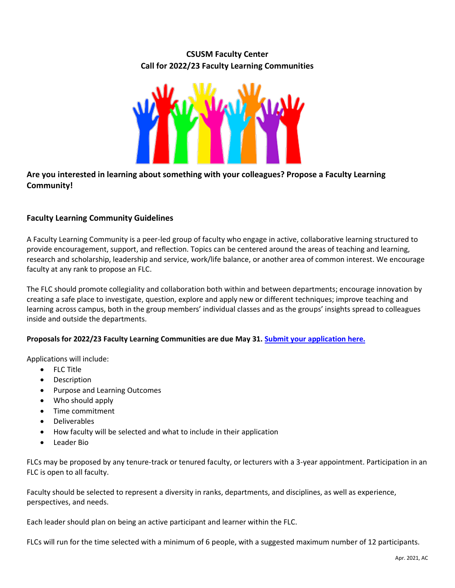## **CSUSM Faculty Center Call for 2022/23 Faculty Learning Communities**



## **Are you interested in learning about something with your colleagues? Propose a Faculty Learning Community!**

## **Faculty Learning Community Guidelines**

A Faculty Learning Community is a peer-led group of faculty who engage in active, collaborative learning structured to provide encouragement, support, and reflection. Topics can be centered around the areas of teaching and learning, research and scholarship, leadership and service, work/life balance, or another area of common interest. We encourage faculty at any rank to propose an FLC.

The FLC should promote collegiality and collaboration both within and between departments; encourage innovation by creating a safe place to investigate, question, explore and apply new or different techniques; improve teaching and learning across campus, both in the group members' individual classes and as the groups' insights spread to colleagues inside and outside the departments.

## **Proposals for 2022/23 Faculty Learning Communities are due May 31. [Submit your application here.](https://www.csusm.edu/fc/communities/facultylearningcommunities/new-flc-22-23.html)**

Applications will include:

- FLC Title
- **Description**
- Purpose and Learning Outcomes
- Who should apply
- Time commitment
- Deliverables
- How faculty will be selected and what to include in their application
- Leader Bio

FLCs may be proposed by any tenure-track or tenured faculty, or lecturers with a 3-year appointment. Participation in an FLC is open to all faculty.

Faculty should be selected to represent a diversity in ranks, departments, and disciplines, as well as experience, perspectives, and needs.

Each leader should plan on being an active participant and learner within the FLC.

FLCs will run for the time selected with a minimum of 6 people, with a suggested maximum number of 12 participants.